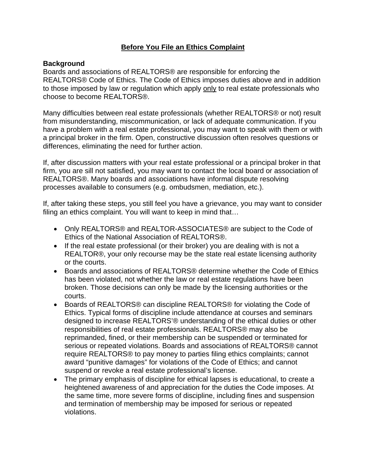# **Before You File an Ethics Complaint**

#### **Background**

Boards and associations of REALTORS® are responsible for enforcing the REALTORS® Code of Ethics. The Code of Ethics imposes duties above and in addition to those imposed by law or regulation which apply only to real estate professionals who choose to become REALTORS®.

Many difficulties between real estate professionals (whether REALTORS® or not) result from misunderstanding, miscommunication, or lack of adequate communication. If you have a problem with a real estate professional, you may want to speak with them or with a principal broker in the firm. Open, constructive discussion often resolves questions or differences, eliminating the need for further action.

If, after discussion matters with your real estate professional or a principal broker in that firm, you are sill not satisfied, you may want to contact the local board or association of REALTORS®. Many boards and associations have informal dispute resolving processes available to consumers (e.g. ombudsmen, mediation, etc.).

If, after taking these steps, you still feel you have a grievance, you may want to consider filing an ethics complaint. You will want to keep in mind that...

- Only REALTORS® and REALTOR-ASSOCIATES® are subject to the Code of Ethics of the National Association of REALTORS®.
- If the real estate professional (or their broker) you are dealing with is not a REALTOR®, your only recourse may be the state real estate licensing authority or the courts.
- Boards and associations of REALTORS® determine whether the Code of Ethics has been violated, not whether the law or real estate regulations have been broken. Those decisions can only be made by the licensing authorities or the courts.
- Boards of REALTORS® can discipline REALTORS® for violating the Code of Ethics. Typical forms of discipline include attendance at courses and seminars designed to increase REALTORS'® understanding of the ethical duties or other responsibilities of real estate professionals. REALTORS® may also be reprimanded, fined, or their membership can be suspended or terminated for serious or repeated violations. Boards and associations of REALTORS® cannot require REALTORS® to pay money to parties filing ethics complaints; cannot award "punitive damages" for violations of the Code of Ethics; and cannot suspend or revoke a real estate professional's license.
- The primary emphasis of discipline for ethical lapses is educational, to create a heightened awareness of and appreciation for the duties the Code imposes. At the same time, more severe forms of discipline, including fines and suspension and termination of membership may be imposed for serious or repeated violations.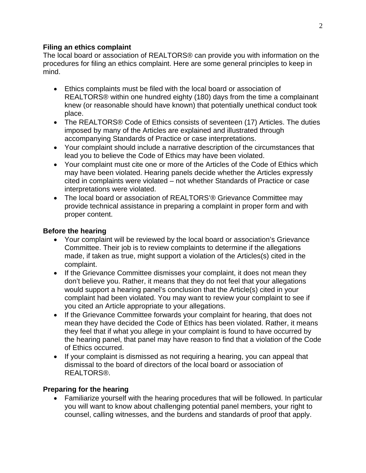#### **Filing an ethics complaint**

The local board or association of REALTORS® can provide you with information on the procedures for filing an ethics complaint. Here are some general principles to keep in mind.

- Ethics complaints must be filed with the local board or association of REALTORS® within one hundred eighty (180) days from the time a complainant knew (or reasonable should have known) that potentially unethical conduct took place.
- The REALTORS® Code of Ethics consists of seventeen (17) Articles. The duties imposed by many of the Articles are explained and illustrated through accompanying Standards of Practice or case interpretations.
- Your complaint should include a narrative description of the circumstances that lead you to believe the Code of Ethics may have been violated.
- Your complaint must cite one or more of the Articles of the Code of Ethics which may have been violated. Hearing panels decide whether the Articles expressly cited in complaints were violated – not whether Standards of Practice or case interpretations were violated.
- The local board or association of REALTORS'® Grievance Committee may provide technical assistance in preparing a complaint in proper form and with proper content.

# **Before the hearing**

- Your complaint will be reviewed by the local board or association's Grievance Committee. Their job is to review complaints to determine if the allegations made, if taken as true, might support a violation of the Articles(s) cited in the complaint.
- If the Grievance Committee dismisses your complaint, it does not mean they don't believe you. Rather, it means that they do not feel that your allegations would support a hearing panel's conclusion that the Article(s) cited in your complaint had been violated. You may want to review your complaint to see if you cited an Article appropriate to your allegations.
- If the Grievance Committee forwards your complaint for hearing, that does not mean they have decided the Code of Ethics has been violated. Rather, it means they feel that if what you allege in your complaint is found to have occurred by the hearing panel, that panel may have reason to find that a violation of the Code of Ethics occurred.
- If your complaint is dismissed as not requiring a hearing, you can appeal that dismissal to the board of directors of the local board or association of REALTORS®.

# **Preparing for the hearing**

• Familiarize yourself with the hearing procedures that will be followed. In particular you will want to know about challenging potential panel members, your right to counsel, calling witnesses, and the burdens and standards of proof that apply.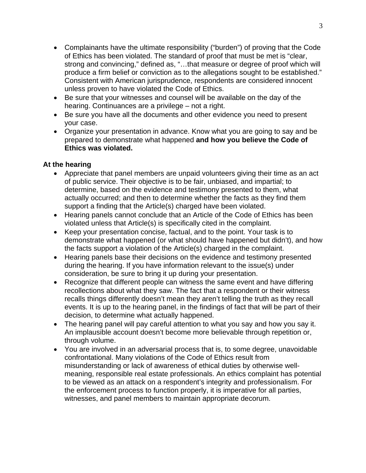- Complainants have the ultimate responsibility ("burden") of proving that the Code of Ethics has been violated. The standard of proof that must be met is "clear, strong and convincing," defined as, "…that measure or degree of proof which will produce a firm belief or conviction as to the allegations sought to be established." Consistent with American jurisprudence, respondents are considered innocent unless proven to have violated the Code of Ethics.
- Be sure that your witnesses and counsel will be available on the day of the hearing. Continuances are a privilege – not a right.
- Be sure you have all the documents and other evidence you need to present your case.
- Organize your presentation in advance. Know what you are going to say and be prepared to demonstrate what happened **and how you believe the Code of Ethics was violated.**

# **At the hearing**

- Appreciate that panel members are unpaid volunteers giving their time as an act of public service. Their objective is to be fair, unbiased, and impartial; to determine, based on the evidence and testimony presented to them, what actually occurred; and then to determine whether the facts as they find them support a finding that the Article(s) charged have been violated.
- Hearing panels cannot conclude that an Article of the Code of Ethics has been violated unless that Article(s) is specifically cited in the complaint.
- Keep your presentation concise, factual, and to the point. Your task is to demonstrate what happened (or what should have happened but didn't), and how the facts support a violation of the Article(s) charged in the complaint.
- Hearing panels base their decisions on the evidence and testimony presented during the hearing. If you have information relevant to the issue(s) under consideration, be sure to bring it up during your presentation.
- Recognize that different people can witness the same event and have differing recollections about what they saw. The fact that a respondent or their witness recalls things differently doesn't mean they aren't telling the truth as they recall events. It is up to the hearing panel, in the findings of fact that will be part of their decision, to determine what actually happened.
- The hearing panel will pay careful attention to what you say and how you say it. An implausible account doesn't become more believable through repetition or, through volume.
- You are involved in an adversarial process that is, to some degree, unavoidable confrontational. Many violations of the Code of Ethics result from misunderstanding or lack of awareness of ethical duties by otherwise wellmeaning, responsible real estate professionals. An ethics complaint has potential to be viewed as an attack on a respondent's integrity and professionalism. For the enforcement process to function properly, it is imperative for all parties, witnesses, and panel members to maintain appropriate decorum.